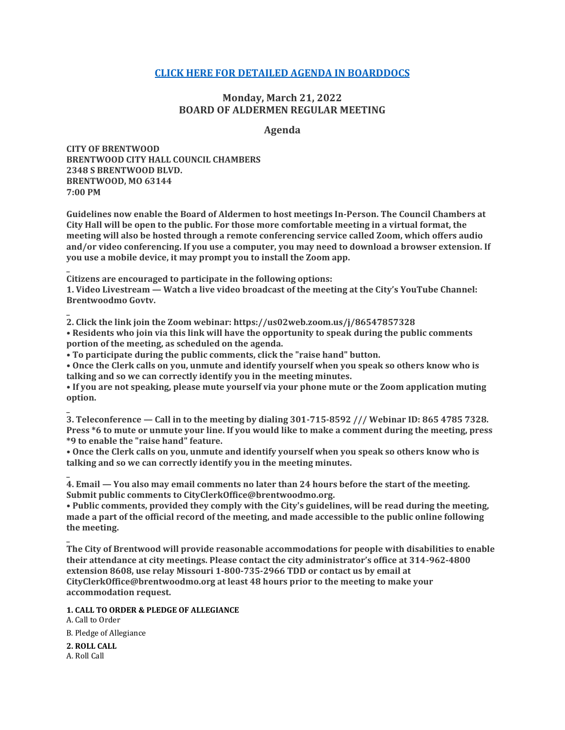# **[CLICK HERE FOR DETAILED AGENDA IN BOARDDOCS](http://go.boarddocs.com/mo/cob/Board.nsf/goto?open&id=CALSRY73A6BE)**

# **Monday, March 21, 2022 BOARD OF ALDERMEN REGULAR MEETING**

# **Agenda**

**CITY OF BRENTWOOD BRENTWOOD CITY HALL COUNCIL CHAMBERS 2348 S BRENTWOOD BLVD. BRENTWOOD, MO 63144 7:00 PM**

**Guidelines now enable the Board of Aldermen to host meetings In-Person. The Council Chambers at City Hall will be open to the public. For those more comfortable meeting in a virtual format, the meeting will also be hosted through a remote conferencing service called Zoom, which offers audio and/or video conferencing. If you use a computer, you may need to download a browser extension. If you use a mobile device, it may prompt you to install the Zoom app.**

**Citizens are encouraged to participate in the following options:**

**1. Video Livestream — Watch a live video broadcast of the meeting at the City's YouTube Channel: Brentwoodmo Govtv.**

**2. Click the link join the Zoom webinar: https://us02web.zoom.us/j/86547857328 • Residents who join via this link will have the opportunity to speak during the public comments portion of the meeting, as scheduled on the agenda.**

**• To participate during the public comments, click the "raise hand" button.**

**• Once the Clerk calls on you, unmute and identify yourself when you speak so others know who is talking and so we can correctly identify you in the meeting minutes.**

**• If you are not speaking, please mute yourself via your phone mute or the Zoom application muting option.**

**3. Teleconference — Call in to the meeting by dialing 301-715-8592 /// Webinar ID: 865 4785 7328. Press \*6 to mute or unmute your line. If you would like to make a comment during the meeting, press \*9 to enable the "raise hand" feature.**

**• Once the Clerk calls on you, unmute and identify yourself when you speak so others know who is talking and so we can correctly identify you in the meeting minutes.**

**4. Email — You also may email comments no later than 24 hours before the start of the meeting. Submit public comments to CityClerkOffice@brentwoodmo.org.**

**• Public comments, provided they comply with the City's guidelines, will be read during the meeting, made a part of the official record of the meeting, and made accessible to the public online following the meeting. \_**

**The City of Brentwood will provide reasonable accommodations for people with disabilities to enable their attendance at city meetings. Please contact the city administrator's office at 314-962-4800 extension 8608, use relay Missouri 1-800-735-2966 TDD or contact us by email at CityClerkOffice@brentwoodmo.org at least 48 hours prior to the meeting to make your accommodation request.**

**1. CALL TO ORDER & PLEDGE OF ALLEGIANCE**

A. Call to Order B. Pledge of Allegiance

**2. ROLL CALL** A. Roll Call

**\_**

**\_**

**\_**

**\_**